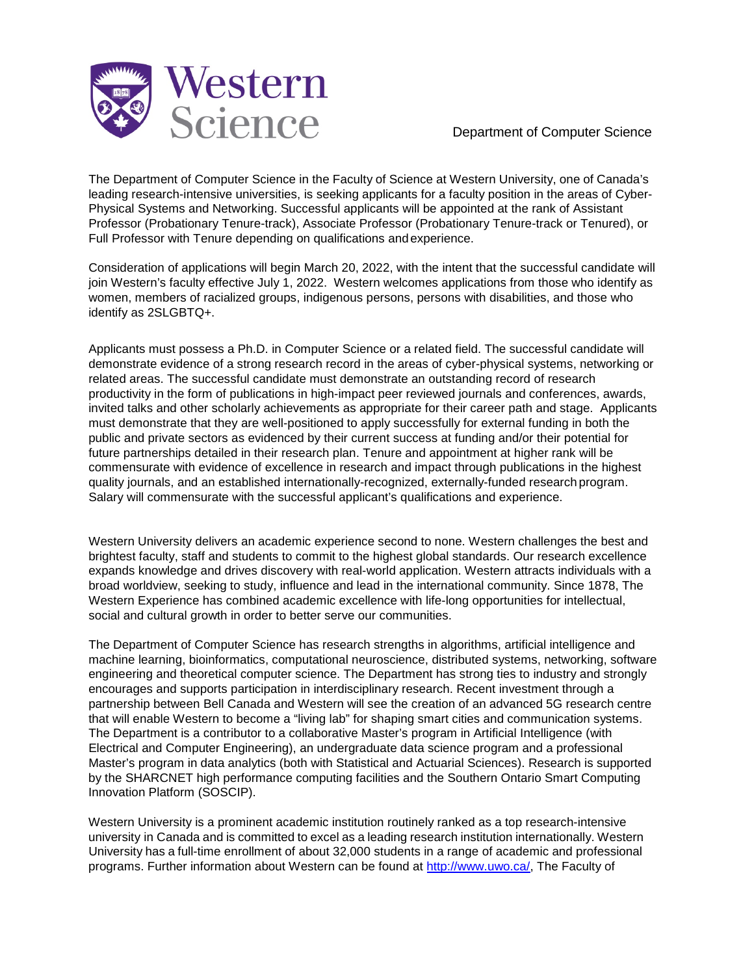

Department of Computer Science

The Department of Computer Science in the Faculty of Science at Western University, one of Canada's leading research-intensive universities, is seeking applicants for a faculty position in the areas of Cyber-Physical Systems and Networking. Successful applicants will be appointed at the rank of Assistant Professor (Probationary Tenure-track), Associate Professor (Probationary Tenure-track or Tenured), or Full Professor with Tenure depending on qualifications andexperience.

Consideration of applications will begin March 20, 2022, with the intent that the successful candidate will join Western's faculty effective July 1, 2022. Western welcomes applications from those who identify as women, members of racialized groups, indigenous persons, persons with disabilities, and those who identify as 2SLGBTQ+.

Applicants must possess a Ph.D. in Computer Science or a related field. The successful candidate will demonstrate evidence of a strong research record in the areas of cyber-physical systems, networking or related areas. The successful candidate must demonstrate an outstanding record of research productivity in the form of publications in high-impact peer reviewed journals and conferences, awards, invited talks and other scholarly achievements as appropriate for their career path and stage. Applicants must demonstrate that they are well-positioned to apply successfully for external funding in both the public and private sectors as evidenced by their current success at funding and/or their potential for future partnerships detailed in their research plan. Tenure and appointment at higher rank will be commensurate with evidence of excellence in research and impact through publications in the highest quality journals, and an established internationally-recognized, externally-funded research program. Salary will commensurate with the successful applicant's qualifications and experience.

Western University delivers an academic experience second to none. Western challenges the best and brightest faculty, staff and students to commit to the highest global standards. Our research excellence expands knowledge and drives discovery with real-world application. Western attracts individuals with a broad worldview, seeking to study, influence and lead in the international community. Since 1878, The Western Experience has combined academic excellence with life-long opportunities for intellectual, social and cultural growth in order to better serve our communities.

The Department of Computer Science has research strengths in algorithms, artificial intelligence and machine learning, bioinformatics, computational neuroscience, distributed systems, networking, software engineering and theoretical computer science. The Department has strong ties to industry and strongly encourages and supports participation in interdisciplinary research. Recent investment through a partnership between Bell Canada and Western will see the creation of an advanced 5G research centre that will enable Western to become a "living lab" for shaping smart cities and communication systems. The Department is a contributor to a collaborative Master's program in Artificial Intelligence (with Electrical and Computer Engineering), an undergraduate data science program and a professional Master's program in data analytics (both with Statistical and Actuarial Sciences). Research is supported by the SHARCNET high performance computing facilities and the Southern Ontario Smart Computing Innovation Platform (SOSCIP).

Western University is a prominent academic institution routinely ranked as a top research-intensive university in Canada and is committed to excel as a leading research institution internationally. Western University has a full-time enrollment of about 32,000 students in a range of academic and professional programs. Further information about Western can be found at [http://www.uwo.ca/,](http://www.uwo.ca/) The Faculty of